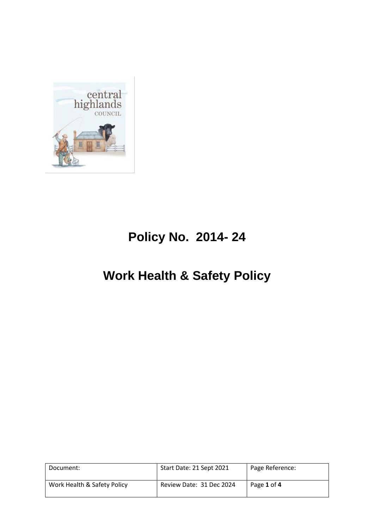

# **Policy No. 2014- 24**

## **Work Health & Safety Policy**

| Document:                   | Start Date: 21 Sept 2021 | Page Reference: |
|-----------------------------|--------------------------|-----------------|
| Work Health & Safety Policy | Review Date: 31 Dec 2024 | Page 1 of 4     |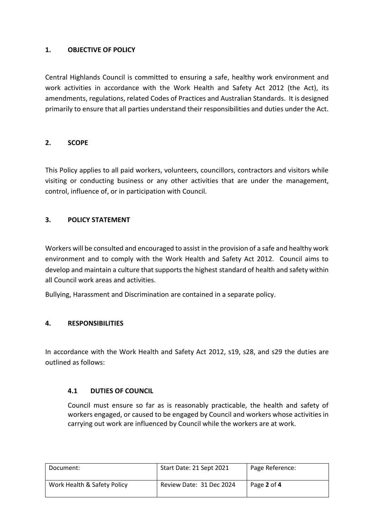#### **1. OBJECTIVE OF POLICY**

Central Highlands Council is committed to ensuring a safe, healthy work environment and work activities in accordance with the Work Health and Safety Act 2012 (the Act), its amendments, regulations, related Codes of Practices and Australian Standards. It is designed primarily to ensure that all parties understand their responsibilities and duties under the Act.

## **2. SCOPE**

This Policy applies to all paid workers, volunteers, councillors, contractors and visitors while visiting or conducting business or any other activities that are under the management, control, influence of, or in participation with Council.

#### **3. POLICY STATEMENT**

Workers will be consulted and encouraged to assist in the provision of a safe and healthy work environment and to comply with the Work Health and Safety Act 2012. Council aims to develop and maintain a culture that supports the highest standard of health and safety within all Council work areas and activities.

Bullying, Harassment and Discrimination are contained in a separate policy.

## **4. RESPONSIBILITIES**

In accordance with the Work Health and Safety Act 2012, s19, s28, and s29 the duties are outlined as follows:

## **4.1 DUTIES OF COUNCIL**

Council must ensure so far as is reasonably practicable, the health and safety of workers engaged, or caused to be engaged by Council and workers whose activities in carrying out work are influenced by Council while the workers are at work.

| Document:                   | Start Date: 21 Sept 2021 | Page Reference: |
|-----------------------------|--------------------------|-----------------|
| Work Health & Safety Policy | Review Date: 31 Dec 2024 | Page 2 of 4     |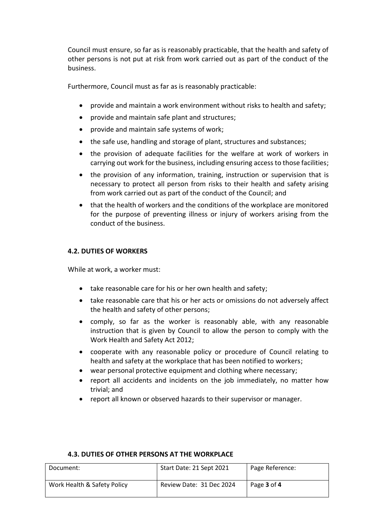Council must ensure, so far as is reasonably practicable, that the health and safety of other persons is not put at risk from work carried out as part of the conduct of the business.

Furthermore, Council must as far as is reasonably practicable:

- provide and maintain a work environment without risks to health and safety;
- provide and maintain safe plant and structures;
- provide and maintain safe systems of work;
- the safe use, handling and storage of plant, structures and substances;
- the provision of adequate facilities for the welfare at work of workers in carrying out work for the business, including ensuring access to those facilities;
- the provision of any information, training, instruction or supervision that is necessary to protect all person from risks to their health and safety arising from work carried out as part of the conduct of the Council; and
- that the health of workers and the conditions of the workplace are monitored for the purpose of preventing illness or injury of workers arising from the conduct of the business.

#### **4.2. DUTIES OF WORKERS**

While at work, a worker must:

- take reasonable care for his or her own health and safety;
- take reasonable care that his or her acts or omissions do not adversely affect the health and safety of other persons;
- comply, so far as the worker is reasonably able, with any reasonable instruction that is given by Council to allow the person to comply with the Work Health and Safety Act 2012;
- cooperate with any reasonable policy or procedure of Council relating to health and safety at the workplace that has been notified to workers;
- wear personal protective equipment and clothing where necessary;
- report all accidents and incidents on the job immediately, no matter how trivial; and
- report all known or observed hazards to their supervisor or manager.

| Document:                   | Start Date: 21 Sept 2021 | Page Reference: |
|-----------------------------|--------------------------|-----------------|
| Work Health & Safety Policy | Review Date: 31 Dec 2024 | Page 3 of 4     |

#### **4.3. DUTIES OF OTHER PERSONS AT THE WORKPLACE**